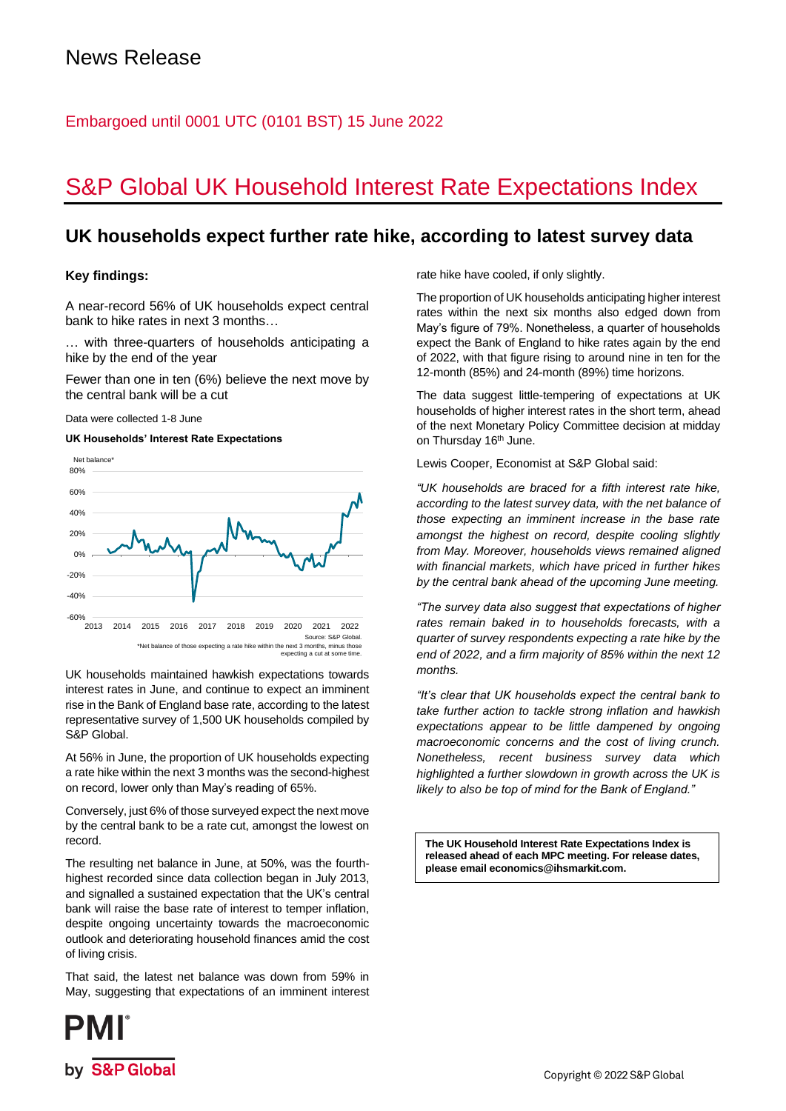# Embargoed until 0001 UTC (0101 BST) 15 June 2022

# S&P Global UK Household Interest Rate Expectations Index

# **UK households expect further rate hike, according to latest survey data**

# **Key findings:**

A near-record 56% of UK households expect central bank to hike rates in next 3 months…

… with three-quarters of households anticipating a hike by the end of the year

Fewer than one in ten (6%) believe the next move by the central bank will be a cut

Data were collected 1-8 June

## **UK Households' Interest Rate Expectations**



UK households maintained hawkish expectations towards interest rates in June, and continue to expect an imminent rise in the Bank of England base rate, according to the latest representative survey of 1,500 UK households compiled by S&P Global.

At 56% in June, the proportion of UK households expecting a rate hike within the next 3 months was the second-highest on record, lower only than May's reading of 65%.

Conversely, just 6% of those surveyed expect the next move by the central bank to be a rate cut, amongst the lowest on record.

The resulting net balance in June, at 50%, was the fourthhighest recorded since data collection began in July 2013, and signalled a sustained expectation that the UK's central bank will raise the base rate of interest to temper inflation, despite ongoing uncertainty towards the macroeconomic outlook and deteriorating household finances amid the cost of living crisis.

That said, the latest net balance was down from 59% in May, suggesting that expectations of an imminent interest rate hike have cooled, if only slightly.

The proportion of UK households anticipating higher interest rates within the next six months also edged down from May's figure of 79%. Nonetheless, a quarter of households expect the Bank of England to hike rates again by the end of 2022, with that figure rising to around nine in ten for the 12-month (85%) and 24-month (89%) time horizons.

The data suggest little-tempering of expectations at UK households of higher interest rates in the short term, ahead of the next Monetary Policy Committee decision at midday on Thursday 16<sup>th</sup> June.

Lewis Cooper, Economist at S&P Global said:

*"UK households are braced for a fifth interest rate hike, according to the latest survey data, with the net balance of those expecting an imminent increase in the base rate amongst the highest on record, despite cooling slightly from May. Moreover, households views remained aligned with financial markets, which have priced in further hikes by the central bank ahead of the upcoming June meeting.*

*"The survey data also suggest that expectations of higher rates remain baked in to households forecasts, with a quarter of survey respondents expecting a rate hike by the end of 2022, and a firm majority of 85% within the next 12 months.*

*"It's clear that UK households expect the central bank to take further action to tackle strong inflation and hawkish expectations appear to be little dampened by ongoing macroeconomic concerns and the cost of living crunch. Nonetheless, recent business survey data which highlighted a further slowdown in growth across the UK is likely to also be top of mind for the Bank of England."*

**The UK Household Interest Rate Expectations Index is released ahead of each MPC meeting. For release dates, please email economics@ihsmarkit.com.**

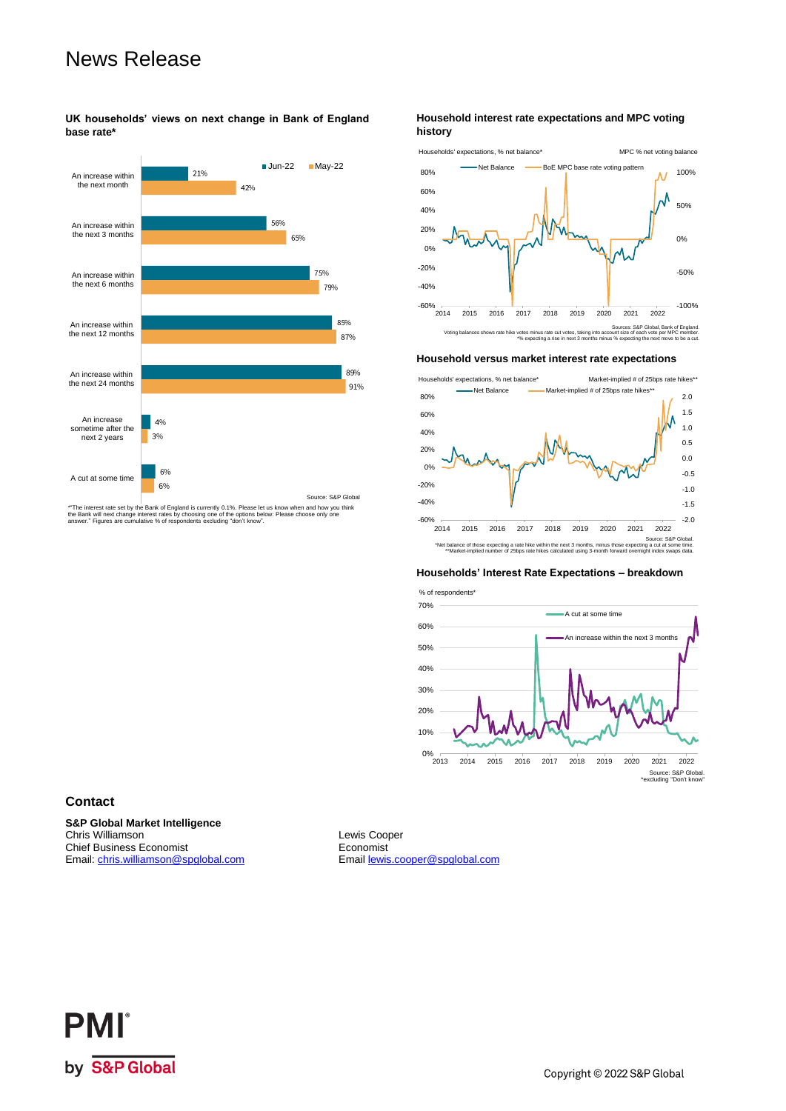# News Release

**UK households' views on next change in Bank of England base rate\***



\*\*The interest rate set by the Bank of England is currently 0.1%. Please let us know when and how you think<br>the Bank will next change interest rates by choosing one of the options below: Please choose only one<br>answer." Fig

### **Household interest rate expectations and MPC voting history**



#### **Household versus market interest rate expectations**



#### **Households' Interest Rate Expectations – breakdown**



# **Contact**

**S&P Global Market Intelligence** Chris Williamson Lewis Cooper<br>
Chris Williamson Lewis Cooper<br>
Chief Business Economist<br>
Conomist Chief Business Economist<br>
Email: chris.williamson@spglobal.com 
Email lewis.cooper@spglobal.com Email: [chris.williamson@spglobal.com](mailto:chris.williamson@spglobal.com)